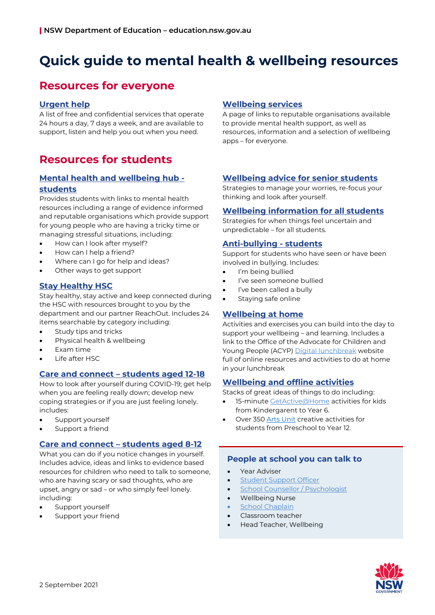# **Quick guide to mental health & wellbeing resources**

# **Resources for everyone**

# **[Urgent help](https://education.nsw.gov.au/student-wellbeing/counselling-and-psychology-services/urgent-help)**

A list of free and confidential services that operate 24 hours a day, 7 days a week, and are available to support, listen and help you out when you need.

# **Resources for students**

# **[Mental health and](https://education.nsw.gov.au/student-wellbeing/counselling-and-psychology-services/students) wellbeing hub [students](https://education.nsw.gov.au/student-wellbeing/counselling-and-psychology-services/students)**

Provides students with links to mental health resources including a range of evidence informed and reputable organisations which provide support for young people who are having a tricky time or managing stressful situations, including:

- How can I look after myself?
- How can I help a friend?
- Where can I go for help and ideas?
- Other ways to get support

# **[Stay Healthy HSC](https://education.nsw.gov.au/student-wellbeing/stay-healthy-HSC)**

Stay healthy, stay active and keep connected during the HSC with resources brought to you by the department and our partner ReachOut. Includes 24 items searchable by category including:

- Study tips and tricks
- Physical health & wellbeing
- Exam time
- Life after HSC

# **Care and connect – [students aged 12-18](https://education.nsw.gov.au/teaching-and-learning/learning-from-home/wellbeing/care-and-connect/connect/students-12-18)**

How to look after yourself during COVID-19; get help when you are feeling really down; develop new coping strategies or if you are just feeling lonely. includes:

- Support yourself
- Support a friend

# **[Care and connect –](https://education.nsw.gov.au/teaching-and-learning/learning-from-home/wellbeing/care-and-connect/connect/students-8-12) students aged 8-12**

What you can do if you notice changes in yourself. Includes advice, ideas and links to evidence based resources for children who need to talk to someone, who are having scary or sad thoughts, who are upset, angry or sad – or who simply feel lonely. including:

- Support yourself
- Support your friend

#### **[Wellbeing services](https://education.nsw.gov.au/teaching-and-learning/learning-from-home/wellbeing/wellbeing-at-home/general-information/wellbeing-services)**

A page of links to reputable organisations available to provide mental health support, as well as resources, information and a selection of wellbeing apps – for everyone.

# **[Wellbeing advice for senior students](https://education.nsw.gov.au/teaching-and-learning/learning-from-home/hsc-central/hsc-student-hub/wellbeing/wellbeing-advice-for-senior-students)**

Strategies to manage your worries, re-focus your thinking and look after yourself.

# **[Wellbeing information for all students](https://education.nsw.gov.au/teaching-and-learning/learning-from-home/wellbeing/wellbeing-at-home/student-wellbeing/information-for-all-students)**

Strategies for when things feel uncertain and unpredictable – for all students.

#### **[Anti-bullying -](https://education.nsw.gov.au/student-wellbeing/attendance-behaviour-and-engagement/anti-bullying/students) students**

Support for students who have seen or have been involved in bullying. Includes:

- I'm being bullied
- I've seen someone bullied
- I've been called a bully
- Staying safe online

# **[Wellbeing at home](https://education.nsw.gov.au/teaching-and-learning/learning-from-home/wellbeing/wellbeing-at-home/general-information)**

Activities and exercises you can build into the day to support your wellbeing – and learning. Includes a link to the Office of the Advocate for Children and Young People (ACYP) [Digital lunchbreak](https://www.digitallunchbreak.nsw.gov.au/) website full of online resources and activities to do at home in your lunchbreak

# **Wellbeing and offline activities**

Stacks of great ideas of things to do including:

- 15-minute [GetActive@Home](https://education.nsw.gov.au/teaching-and-learning/learning-from-home/learning-at-home/activities-for-your-child/getactive-home) activities for kids from Kindergarent to Year 6.
- Over 350 [Arts Unit](https://education.nsw.gov.au/teaching-and-learning/learning-from-home/learning-at-home/activities-for-your-child/art-bites) creative activities for students from Preschool to Year 12.

#### **People at school you can talk to**

- Year Adviser
- [Student Support Officer](https://education.nsw.gov.au/student-wellbeing/counselling-and-psychology-services/student-support-officers)
- [School Counsellor / Psychologist](https://education.nsw.gov.au/student-wellbeing/counselling-and-psychology-services/school-counselling/professional-practice-framework)
- Wellbeing Nurse
- [School Chaplain](https://education.nsw.gov.au/student-wellbeing/whole-school-approach/wellbeing-support/nscp)
- Classroom teacher
- Head Teacher, Wellbeing